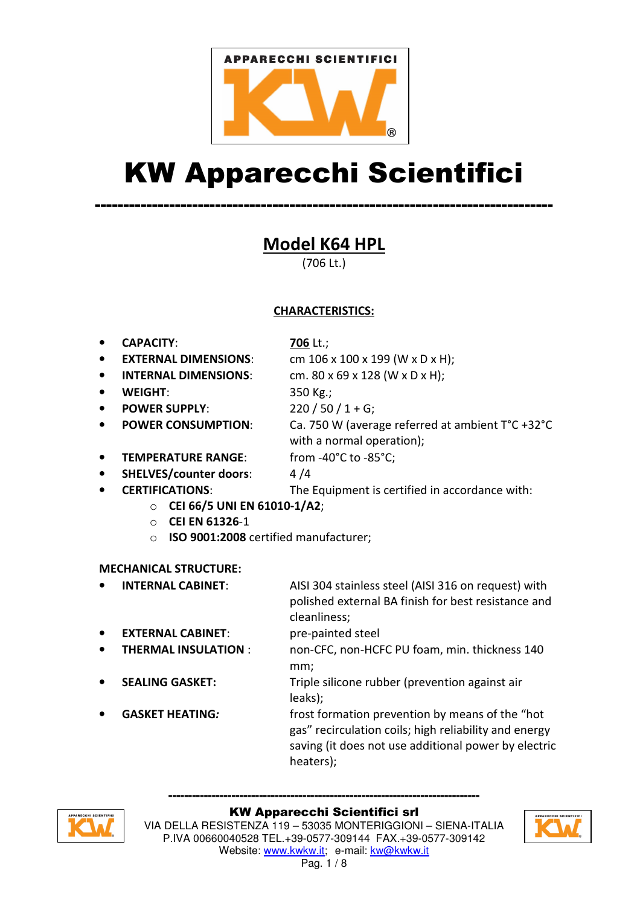

# KW Apparecchi Scientifici

--------------------------------------------------------------------------------

Model K64 HPL

(706 Lt.)

# CHARACTERISTICS:

• CAPACITY: 706 Lt.;

- **EXTERNAL DIMENSIONS:** cm  $106 \times 100 \times 199$  (W  $\times$  D  $\times$  H);
- **INTERNAL DIMENSIONS:** cm. 80 x 69 x 128 (W x D x H);
- 

**WEIGHT:** 350 Kg.;

- POWER SUPPLY: 220 / 50 / 1 + G;
- POWER CONSUMPTION: Ca. 750 W (average referred at ambient T°C +32°C
	- with a normal operation);
- TEMPERATURE RANGE: from -40°C to -85°C;

SHELVES/counter doors: 4/4

• CERTIFICATIONS: The Equipment is certified in accordance with:

o CEI 66/5 UNI EN 61010-1/A2;

- o CEI EN 61326-1
- o ISO 9001:2008 certified manufacturer;

## MECHANICAL STRUCTURE:

• INTERNAL CABINET: AISI 304 stainless steel (AISI 316 on request) with polished external BA finish for best resistance and cleanliness;

- **EXTERNAL CABINET:** pre-painted steel
- THERMAL INSULATION : non-CFC, non-HCFC PU foam, min. thickness 140 mm;
	- **SEALING GASKET:** Triple silicone rubber (prevention against air leaks);
	- GASKET HEATING: frost formation prevention by means of the "hot gas" recirculation coils; high reliability and energy saving (it does not use additional power by electric heaters);



#### ------------------------------------------------------------------------------- KW Apparecchi Scientifici srl

VIA DELLA RESISTENZA 119 – 53035 MONTERIGGIONI – SIENA-ITALIA P.IVA 00660040528 TEL.+39-0577-309144 FAX.+39-0577-309142 Website: www.kwkw.it; e-mail: kw@kwkw.it Pag. 1 / 8

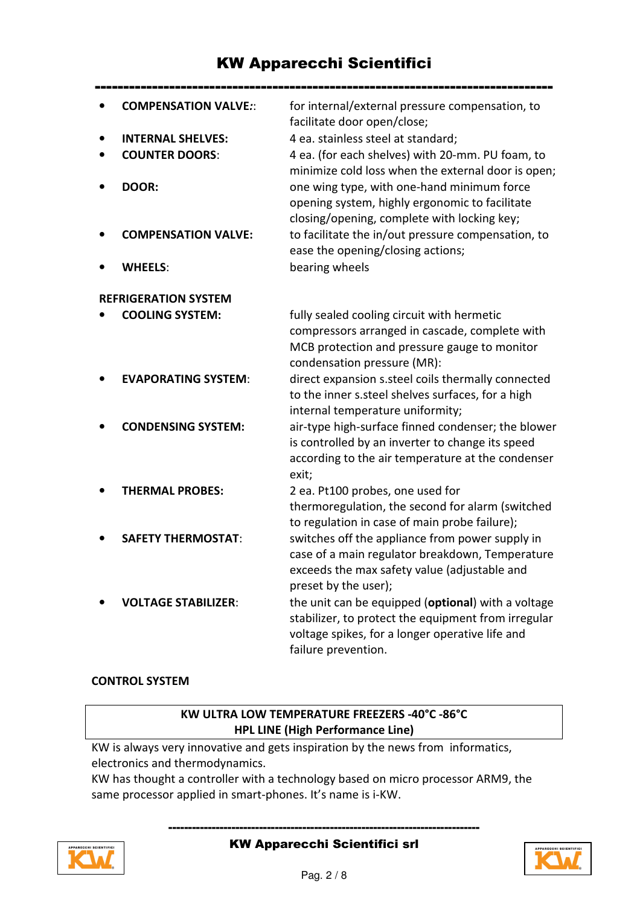# KW Apparecchi Scientifici

|                             | <b>COMPENSATION VALVE::</b> | for internal/external pressure compensation, to<br>facilitate door open/close;                                                              |
|-----------------------------|-----------------------------|---------------------------------------------------------------------------------------------------------------------------------------------|
|                             | <b>INTERNAL SHELVES:</b>    | 4 ea. stainless steel at standard;                                                                                                          |
|                             | <b>COUNTER DOORS:</b>       | 4 ea. (for each shelves) with 20-mm. PU foam, to                                                                                            |
|                             |                             | minimize cold loss when the external door is open;                                                                                          |
|                             | DOOR:                       | one wing type, with one-hand minimum force<br>opening system, highly ergonomic to facilitate<br>closing/opening, complete with locking key; |
|                             | <b>COMPENSATION VALVE:</b>  | to facilitate the in/out pressure compensation, to<br>ease the opening/closing actions;                                                     |
|                             | <b>WHEELS:</b>              | bearing wheels                                                                                                                              |
| <b>REFRIGERATION SYSTEM</b> |                             |                                                                                                                                             |
|                             | <b>COOLING SYSTEM:</b>      | fully sealed cooling circuit with hermetic                                                                                                  |
|                             |                             | compressors arranged in cascade, complete with                                                                                              |
|                             |                             | MCB protection and pressure gauge to monitor                                                                                                |
|                             |                             | condensation pressure (MR):                                                                                                                 |
|                             | <b>EVAPORATING SYSTEM:</b>  | direct expansion s.steel coils thermally connected                                                                                          |
|                             |                             | to the inner s.steel shelves surfaces, for a high                                                                                           |
|                             |                             | internal temperature uniformity;                                                                                                            |
|                             | <b>CONDENSING SYSTEM:</b>   | air-type high-surface finned condenser; the blower                                                                                          |
|                             |                             | is controlled by an inverter to change its speed                                                                                            |
|                             |                             | according to the air temperature at the condenser                                                                                           |
|                             |                             | exit;                                                                                                                                       |
|                             | <b>THERMAL PROBES:</b>      | 2 ea. Pt100 probes, one used for                                                                                                            |
|                             |                             | thermoregulation, the second for alarm (switched                                                                                            |
|                             |                             | to regulation in case of main probe failure);                                                                                               |
|                             | <b>SAFETY THERMOSTAT:</b>   | switches off the appliance from power supply in                                                                                             |
|                             |                             | case of a main regulator breakdown, Temperature                                                                                             |
|                             |                             | exceeds the max safety value (adjustable and                                                                                                |
|                             |                             | preset by the user);                                                                                                                        |
|                             | <b>VOLTAGE STABILIZER:</b>  | the unit can be equipped (optional) with a voltage                                                                                          |
|                             |                             |                                                                                                                                             |
|                             |                             | stabilizer, to protect the equipment from irregular                                                                                         |
|                             |                             | voltage spikes, for a longer operative life and                                                                                             |
|                             |                             | failure prevention.                                                                                                                         |

#### CONTROL SYSTEM

## KW ULTRA LOW TEMPERATURE FREEZERS -40°C -86°C HPL LINE (High Performance Line)

KW is always very innovative and gets inspiration by the news from informatics, electronics and thermodynamics.

KW has thought a controller with a technology based on micro processor ARM9, the same processor applied in smart-phones. It's name is i-KW.



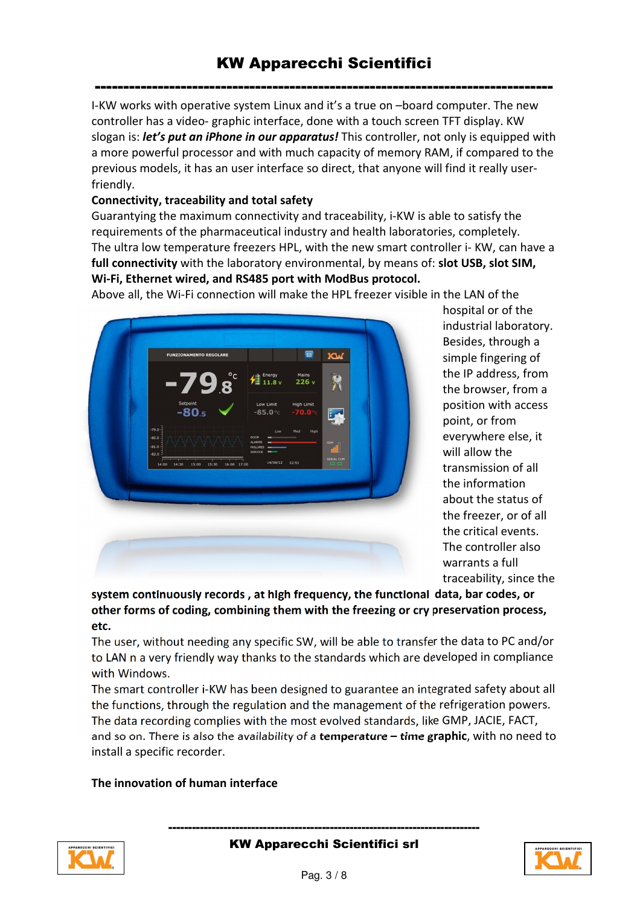I-KW works with operative system Linux and it's a true on –board computer. The new controller has a video- graphic interface, done with a touch screen TFT display. KW slogan is: *let's put an iPhone in our apparatus!* This controller, not only is equipped with a more powerful processor and with much capacity of memory RAM, if compared to the previous models, it has an user interface so direct, that anyone will find it really userfriendly.

#### Connectivity, traceability and total safety

Guarantying the maximum connectivity and traceability, i-KW is able to satisfy the requirements of the pharmaceutical industry and health laboratories, completely. The ultra low temperature freezers HPL, with the new smart controller i- KW, can have a full connectivity with the laboratory environmental, by means of: slot USB, slot SIM, Wi-Fi, Ethernet wired, and RS485 port with ModBus protocol.

Above all, the Wi-Fi connection will make the HPL freezer visible in the LAN of the



hospital or of the industrial laboratory. Besides, through a simple fingering of the IP address, from the browser, from a position with access point, or from everywhere else, it will allow the transmission of all the information about the status of the freezer, or of all the critical events. The controller also warrants a full traceability, since the

system continuously records , at high frequency, the functional data, bar codes, or other forms of coding, combining them with the freezing or cry preservation process, etc.

The user, without needing any specific SW, will be able to transfer the data to PC and/or to LAN n a very friendly way thanks to the standards which are developed in compliance with Windows.

The smart controller i-KW has been designed to guarantee an integrated safety about all the functions, through the regulation and the management of the refrigeration powers. The data recording complies with the most evolved standards, like GMP, JACIE, FACT, and so on. There is also the availability of a temperature – time graphic, with no need to install a specific recorder.

#### The innovation of human interface



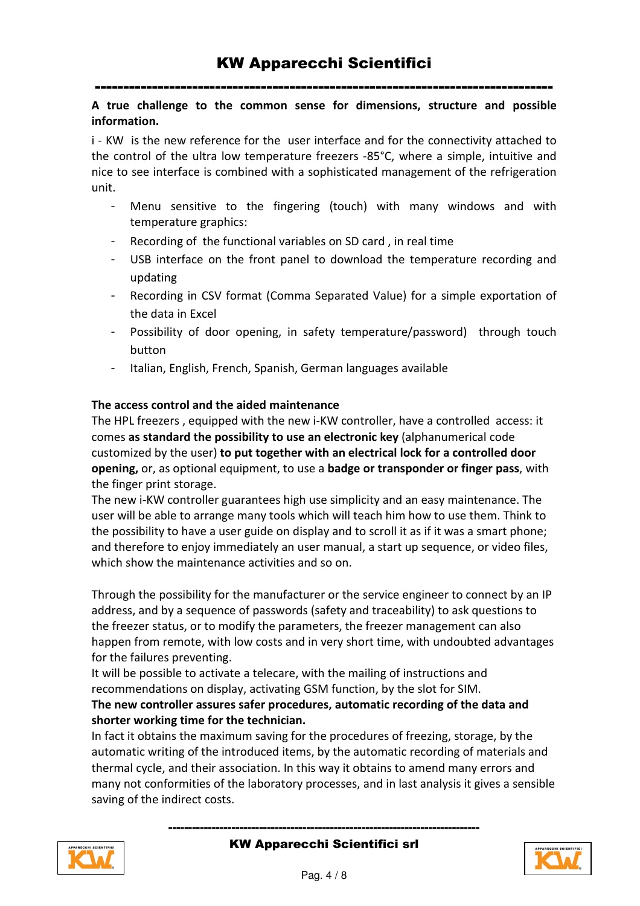#### A true challenge to the common sense for dimensions, structure and possible information.

i - KW is the new reference for the user interface and for the connectivity attached to the control of the ultra low temperature freezers -85°C, where a simple, intuitive and nice to see interface is combined with a sophisticated management of the refrigeration unit.

- Menu sensitive to the fingering (touch) with many windows and with temperature graphics:
- Recording of the functional variables on SD card, in real time
- USB interface on the front panel to download the temperature recording and updating
- Recording in CSV format (Comma Separated Value) for a simple exportation of the data in Excel
- Possibility of door opening, in safety temperature/password) through touch button
- Italian, English, French, Spanish, German languages available

#### The access control and the aided maintenance

The HPL freezers , equipped with the new i-KW controller, have a controlled access: it comes as standard the possibility to use an electronic key (alphanumerical code customized by the user) to put together with an electrical lock for a controlled door opening, or, as optional equipment, to use a badge or transponder or finger pass, with the finger print storage.

The new i-KW controller guarantees high use simplicity and an easy maintenance. The user will be able to arrange many tools which will teach him how to use them. Think to the possibility to have a user guide on display and to scroll it as if it was a smart phone; and therefore to enjoy immediately an user manual, a start up sequence, or video files, which show the maintenance activities and so on.

Through the possibility for the manufacturer or the service engineer to connect by an IP address, and by a sequence of passwords (safety and traceability) to ask questions to the freezer status, or to modify the parameters, the freezer management can also happen from remote, with low costs and in very short time, with undoubted advantages for the failures preventing.

It will be possible to activate a telecare, with the mailing of instructions and recommendations on display, activating GSM function, by the slot for SIM.

#### The new controller assures safer procedures, automatic recording of the data and shorter working time for the technician.

In fact it obtains the maximum saving for the procedures of freezing, storage, by the automatic writing of the introduced items, by the automatic recording of materials and thermal cycle, and their association. In this way it obtains to amend many errors and many not conformities of the laboratory processes, and in last analysis it gives a sensible saving of the indirect costs.



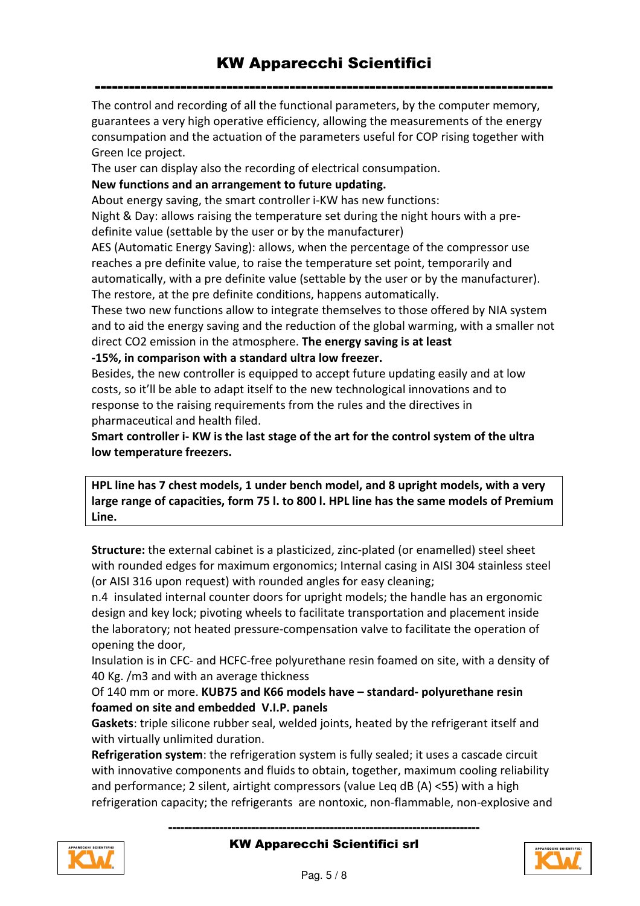The control and recording of all the functional parameters, by the computer memory, guarantees a very high operative efficiency, allowing the measurements of the energy consumpation and the actuation of the parameters useful for COP rising together with Green Ice project.

The user can display also the recording of electrical consumpation.

New functions and an arrangement to future updating.

About energy saving, the smart controller i-KW has new functions:

Night & Day: allows raising the temperature set during the night hours with a predefinite value (settable by the user or by the manufacturer)

AES (Automatic Energy Saving): allows, when the percentage of the compressor use reaches a pre definite value, to raise the temperature set point, temporarily and automatically, with a pre definite value (settable by the user or by the manufacturer). The restore, at the pre definite conditions, happens automatically.

These two new functions allow to integrate themselves to those offered by NIA system and to aid the energy saving and the reduction of the global warming, with a smaller not direct CO2 emission in the atmosphere. The energy saving is at least -15%, in comparison with a standard ultra low freezer.

Besides, the new controller is equipped to accept future updating easily and at low costs, so it'll be able to adapt itself to the new technological innovations and to response to the raising requirements from the rules and the directives in pharmaceutical and health filed.

Smart controller i- KW is the last stage of the art for the control system of the ultra low temperature freezers.

HPL line has 7 chest models, 1 under bench model, and 8 upright models, with a very large range of capacities, form 75 l. to 800 l. HPL line has the same models of Premium Line.

Structure: the external cabinet is a plasticized, zinc-plated (or enamelled) steel sheet with rounded edges for maximum ergonomics; Internal casing in AISI 304 stainless steel (or AISI 316 upon request) with rounded angles for easy cleaning;

n.4 insulated internal counter doors for upright models; the handle has an ergonomic design and key lock; pivoting wheels to facilitate transportation and placement inside the laboratory; not heated pressure-compensation valve to facilitate the operation of opening the door,

Insulation is in CFC- and HCFC-free polyurethane resin foamed on site, with a density of 40 Kg. /m3 and with an average thickness

#### Of 140 mm or more. KUB75 and K66 models have – standard- polyurethane resin foamed on site and embedded V.I.P. panels

Gaskets: triple silicone rubber seal, welded joints, heated by the refrigerant itself and with virtually unlimited duration.

Refrigeration system: the refrigeration system is fully sealed; it uses a cascade circuit with innovative components and fluids to obtain, together, maximum cooling reliability and performance; 2 silent, airtight compressors (value Leq dB (A) <55) with a high refrigeration capacity; the refrigerants are nontoxic, non-flammable, non-explosive and



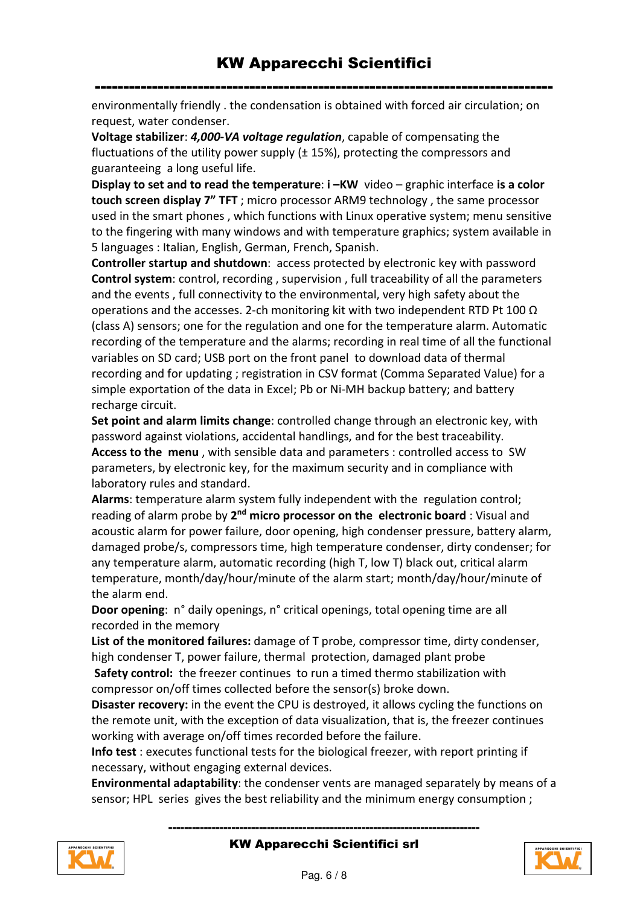environmentally friendly . the condensation is obtained with forced air circulation; on request, water condenser.

Voltage stabilizer: 4,000-VA voltage regulation, capable of compensating the fluctuations of the utility power supply  $(\pm 15%)$ , protecting the compressors and guaranteeing a long useful life.

Display to set and to read the temperature: i-KW video - graphic interface is a color touch screen display 7" TFT; micro processor ARM9 technology, the same processor used in the smart phones , which functions with Linux operative system; menu sensitive to the fingering with many windows and with temperature graphics; system available in 5 languages : Italian, English, German, French, Spanish.

Controller startup and shutdown: access protected by electronic key with password Control system: control, recording , supervision , full traceability of all the parameters and the events , full connectivity to the environmental, very high safety about the operations and the accesses. 2-ch monitoring kit with two independent RTD Pt 100  $\Omega$ (class A) sensors; one for the regulation and one for the temperature alarm. Automatic recording of the temperature and the alarms; recording in real time of all the functional variables on SD card; USB port on the front panel to download data of thermal recording and for updating ; registration in CSV format (Comma Separated Value) for a simple exportation of the data in Excel; Pb or Ni-MH backup battery; and battery recharge circuit.

Set point and alarm limits change: controlled change through an electronic key, with password against violations, accidental handlings, and for the best traceability. Access to the menu, with sensible data and parameters : controlled access to SW parameters, by electronic key, for the maximum security and in compliance with laboratory rules and standard.

Alarms: temperature alarm system fully independent with the regulation control; reading of alarm probe by 2<sup>nd</sup> micro processor on the electronic board: Visual and acoustic alarm for power failure, door opening, high condenser pressure, battery alarm, damaged probe/s, compressors time, high temperature condenser, dirty condenser; for any temperature alarm, automatic recording (high T, low T) black out, critical alarm temperature, month/day/hour/minute of the alarm start; month/day/hour/minute of the alarm end.

Door opening: n° daily openings, n° critical openings, total opening time are all recorded in the memory

List of the monitored failures: damage of T probe, compressor time, dirty condenser, high condenser T, power failure, thermal protection, damaged plant probe Safety control: the freezer continues to run a timed thermo stabilization with compressor on/off times collected before the sensor(s) broke down.

Disaster recovery: in the event the CPU is destroyed, it allows cycling the functions on the remote unit, with the exception of data visualization, that is, the freezer continues working with average on/off times recorded before the failure.

Info test : executes functional tests for the biological freezer, with report printing if necessary, without engaging external devices.

Environmental adaptability: the condenser vents are managed separately by means of a sensor; HPL series gives the best reliability and the minimum energy consumption ;



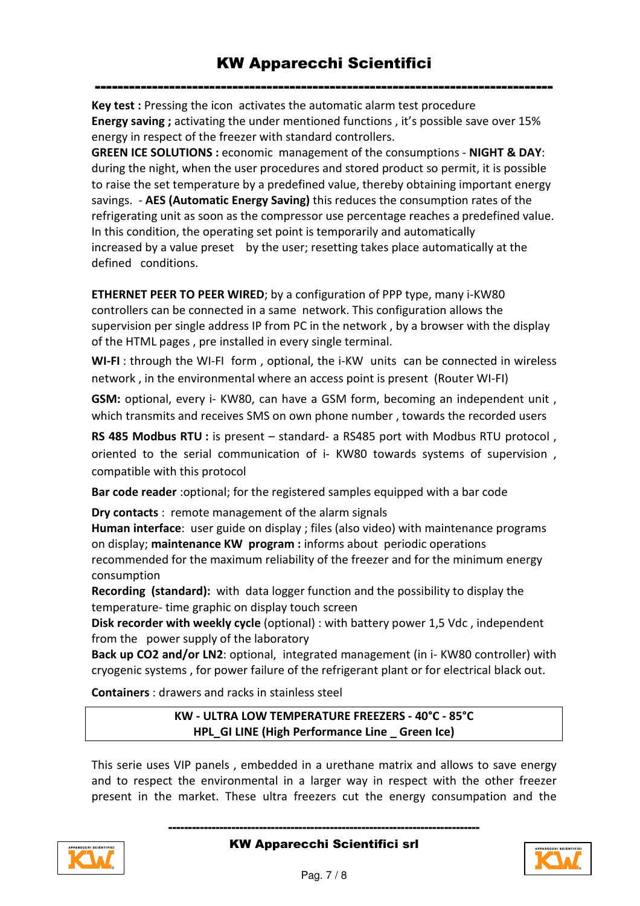Key test : Pressing the icon activates the automatic alarm test procedure Energy saving ; activating the under mentioned functions , it's possible save over 15% energy in respect of the freezer with standard controllers.

GREEN ICE SOLUTIONS : economic management of the consumptions - NIGHT & DAY: during the night, when the user procedures and stored product so permit, it is possible to raise the set temperature by a predefined value, thereby obtaining important energy savings. - AES (Automatic Energy Saving) this reduces the consumption rates of the refrigerating unit as soon as the compressor use percentage reaches a predefined value. In this condition, the operating set point is temporarily and automatically increased by a value preset by the user; resetting takes place automatically at the defined conditions.

ETHERNET PEER TO PEER WIRED; by a configuration of PPP type, many i-KW80 controllers can be connected in a same network. This configuration allows the supervision per single address IP from PC in the network , by a browser with the display of the HTML pages , pre installed in every single terminal.

WI-FI: through the WI-FI form, optional, the i-KW units can be connected in wireless network , in the environmental where an access point is present (Router WI-FI)

GSM: optional, every i- KW80, can have a GSM form, becoming an independent unit , which transmits and receives SMS on own phone number , towards the recorded users

RS 485 Modbus RTU : is present – standard- a RS485 port with Modbus RTU protocol, oriented to the serial communication of i- KW80 towards systems of supervision , compatible with this protocol

Bar code reader :optional; for the registered samples equipped with a bar code

Dry contacts : remote management of the alarm signals

Human interface: user guide on display ; files (also video) with maintenance programs on display; maintenance KW program : informs about periodic operations recommended for the maximum reliability of the freezer and for the minimum energy consumption

Recording (standard): with data logger function and the possibility to display the temperature- time graphic on display touch screen

Disk recorder with weekly cycle (optional) : with battery power 1,5 Vdc , independent from the power supply of the laboratory

Back up CO2 and/or LN2: optional, integrated management (in i- KW80 controller) with cryogenic systems , for power failure of the refrigerant plant or for electrical black out.

Containers : drawers and racks in stainless steel

KW - ULTRA LOW TEMPERATURE FREEZERS - 40°C - 85°C HPL GI LINE (High Performance Line Green Ice)

This serie uses VIP panels , embedded in a urethane matrix and allows to save energy and to respect the environmental in a larger way in respect with the other freezer present in the market. These ultra freezers cut the energy consumpation and the